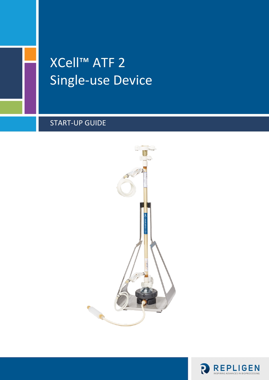# XCell™ ATF 2 Single-use Device

# START-UP GUIDE



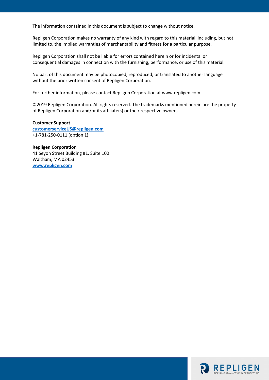The information contained in this document is subject to change without notice.

Repligen Corporation makes no warranty of any kind with regard to this material, including, but not limited to, the implied warranties of merchantability and fitness for a particular purpose.

Repligen Corporation shall not be liable for errors contained herein or for incidental or consequential damages in connection with the furnishing, performance, or use of this material.

No part of this document may be photocopied, reproduced, or translated to another language without the prior written consent of Repligen Corporation.

For further information, please contact Repligen Corporation at www.repligen.com.

©2019 Repligen Corporation. All rights reserved. The trademarks mentioned herein are the property of Repligen Corporation and/or its affiliate(s) or their respective owners.

**Customer Support [customerserviceUS@repligen.com](mailto:customerserviceUS@repligen.com)** +1-781-250-0111 (option 1)

**Repligen Corporation** 41 Seyon Street Building #1, Suite 100 Waltham, MA 02453 **www.repligen.com**

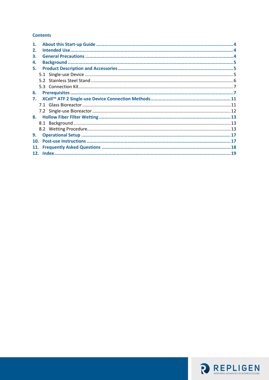#### **Contents**

| 1.         |  |
|------------|--|
| 2.         |  |
| З.         |  |
| 4.         |  |
| 5.         |  |
|            |  |
|            |  |
|            |  |
| 6.         |  |
| 7.         |  |
|            |  |
|            |  |
|            |  |
|            |  |
|            |  |
| 9.         |  |
| 10.        |  |
| <b>11.</b> |  |
|            |  |

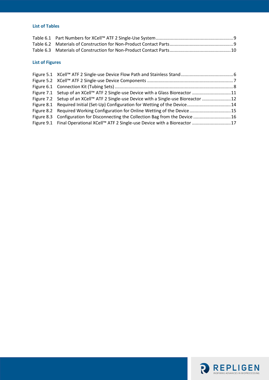#### **List of Tables**

#### **List of Figures**

| Figure 7.1 Setup of an XCell <sup>™</sup> ATF 2 Single-use Device with a Glass Bioreactor 11 |  |
|----------------------------------------------------------------------------------------------|--|
| Figure 7.2 Setup of an XCell™ ATF 2 Single-use Device with a Single-use Bioreactor  12       |  |
| Figure 8.1 Required Initial (Set-Up) Configuration for Wetting of the Device14               |  |
| Figure 8.2 Required Working Configuration for Online Wetting of the Device 15                |  |
| Figure 8.3 Configuration for Disconnecting the Collection Bag from the Device  16            |  |
| Figure 9.1 Final Operational XCell™ ATF 2 Single-use Device with a Bioreactor 17             |  |

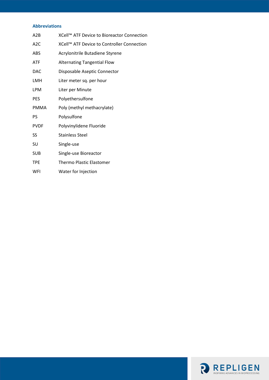#### **Abbreviations**

| A2B              | XCell™ ATF Device to Bioreactor Connection |
|------------------|--------------------------------------------|
| A <sub>2</sub> C | XCell™ ATF Device to Controller Connection |
| ABS              | Acrylonitrile Butadiene Styrene            |
| <b>ATF</b>       | <b>Alternating Tangential Flow</b>         |
| <b>DAC</b>       | Disposable Aseptic Connector               |
| LMH              | Liter meter sq. per hour                   |
| <b>LPM</b>       | Liter per Minute                           |
| <b>PES</b>       | Polyethersulfone                           |
| <b>PMMA</b>      | Poly (methyl methacrylate)                 |
| PS               | Polysulfone                                |
| <b>PVDF</b>      | Polyvinylidene Fluoride                    |
| SS               | <b>Stainless Steel</b>                     |
| SU               | Single-use                                 |
| <b>SUB</b>       | Single-use Bioreactor                      |
| TPE              | <b>Thermo Plastic Elastomer</b>            |
| WFI              | Water for Injection                        |

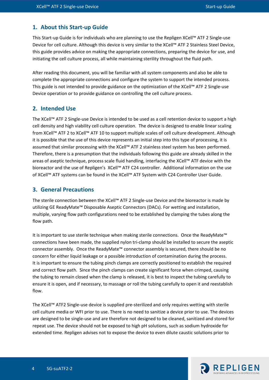#### <span id="page-5-0"></span>**1. About this Start-up Guide**

This Start-up Guide is for individuals who are planning to use the Repligen XCell™ ATF 2 Single-use Device for cell culture. Although this device is very similar to the XCell™ ATF 2 Stainless Steel Device, this guide provides advice on making the appropriate connections, preparing the device for use, and initiating the cell culture process, all while maintaining sterility throughout the fluid path.

After reading this document, you will be familiar with all system components and also be able to complete the appropriate connections and configure the system to support the intended process. This guide is not intended to provide guidance on the optimization of the XCell™ ATF 2 Single-use Device operation or to provide guidance on controlling the cell culture process.

#### <span id="page-5-1"></span>**2. Intended Use**

The XCell™ ATF 2 Single-use Device is intended to be used as a cell retention device to support a high cell density and high viability cell culture operation. The device is designed to enable linear scaling from XCell™ ATF 2 to XCell™ ATF 10 to support multiple scales of cell culture development. Although it is possible that the use of this device represents an initial step into this type of processing, it is assumed that similar processing with the XCell™ ATF 2 stainless steel system has been performed. Therefore, there is a presumption that the individuals following this guide are already skilled in the areas of aseptic technique, process scale fluid handling, interfacing the XCell™ ATF device with the bioreactor and the use of Repligen's XCell™ ATF C24 controller. Additional information on the use of XCell™ ATF systems can be found in the XCell™ ATF System with C24 Controller User Guide.

#### <span id="page-5-2"></span>**3. General Precautions**

The sterile connection between the XCell™ ATF 2 Single-use Device and the bioreactor is made by utilizing GE ReadyMate™ Disposable Aseptic Connectors (DACs). For wetting and installation, multiple, varying flow path configurations need to be established by clamping the tubes along the flow path.

It is important to use sterile technique when making sterile connections. Once the ReadyMate™ connections have been made, the supplied nylon tri-clamp should be installed to secure the aseptic connector assembly. Once the ReadyMate™ connector assembly is secured, there should be no concern for either liquid leakage or a possible introduction of contamination during the process. It is important to ensure the tubing pinch clamps are correctly positioned to establish the required and correct flow path. Since the pinch clamps can create significant force when crimped, causing the tubing to remain closed when the clamp is released, it is best to inspect the tubing carefully to ensure it is open, and if necessary, to massage or roll the tubing carefully to open it and reestablish flow.

The XCell™ ATF2 Single-use device is supplied pre-sterilized and only requires wetting with sterile cell culture media or WFI prior to use. There is no need to sanitize a device prior to use. The devices are designed to be single-use and are therefore not designed to be cleaned, sanitized and stored for repeat use. The device should not be exposed to high pH solutions, such as sodium hydroxide for extended time. Repligen advises not to expose the device to even dilute caustic solutions prior to

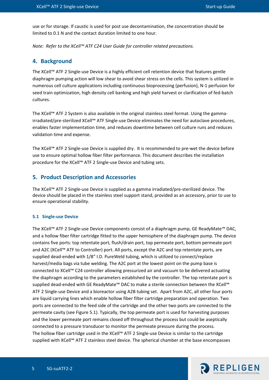use or for storage. If caustic is used for post use decontamination, the concentration should be limited to 0.1 N and the contact duration limited to one hour.

*Note: Refer to the XCell™ ATF C24 User Guide for controller related precautions.*

#### <span id="page-6-0"></span>**4. Background**

The XCell™ ATF 2 Single-use Device is a highly efficient cell retention device that features gentle diaphragm pumping action will low shear to avoid shear stress on the cells. This system is utilized in numerous cell culture applications including continuous bioprocessing (perfusion), N-1 perfusion for seed train optimization, high density cell banking and high yield harvest or clarification of fed-batch cultures.

The XCell™ ATF 2 System is also available in the original stainless steel format. Using the gammairradiated/pre-sterilized XCell™ ATF Single-use Device eliminates the need for autoclave procedures, enables faster implementation time, and reduces downtime between cell culture runs and reduces validation time and expense.

The XCell™ ATF 2 Single-use Device is supplied dry. It is recommended to pre-wet the device before use to ensure optimal hollow fiber filter performance. This document describes the installation procedure for the XCell™ ATF 2 Single-use Device and tubing sets.

#### <span id="page-6-1"></span>**5. Product Description and Accessories**

The XCell™ ATF 2 Single-use Device is supplied as a gamma irradiated/pre-sterilized device. The device should be placed in the stainless steel support stand, provided as an accessory, prior to use to ensure operational stability.

#### <span id="page-6-2"></span>**5.1 Single-use Device**

The XCell™ ATF 2 Single-use Device components consist of a diaphragm pump, GE ReadyMate™ DAC, and a hollow fiber filter cartridge fitted to the upper hemisphere of the diaphragm pump. The device contains five ports: top retentate port, flush/drain port, top permeate port, bottom permeate port and A2C (XCell™ ATF to Controller) port. All ports, except the A2C and top retentate ports, are supplied dead-ended with 1/8" I.D. PureWeld tubing, which is utilized to connect/replace harvest/media bags via tube welding. The A2C port at the lowest point on the pump base is connected to XCell™ C24 controller allowing pressurized air and vacuum to be delivered actuating the diaphragm according to the parameters established by the controller. The top retentate port is supplied dead-ended with GE ReadyMate™ DAC to make a sterile connection between the XCell™ ATF 2 Single-use Device and a bioreactor using A2B tubing set. Apart from A2C, all other four ports are liquid carrying lines which enable hollow fiber filter cartridge preparation and operation. Two ports are connected to the feed side of the cartridge and the other two ports are connected to the permeate cavity (see Figure 5.1). Typically, the top permeate port is used for harvesting purposes and the lower permeate port remains closed off throughout the process but could be aseptically connected to a pressure transducer to monitor the permeate pressure during the process. The hollow fiber cartridge used in the XCell™ ATF 2 Single-use Device is similar to the cartridge supplied with XCell™ ATF 2 stainless steel device. The spherical chamber at the base encompasses

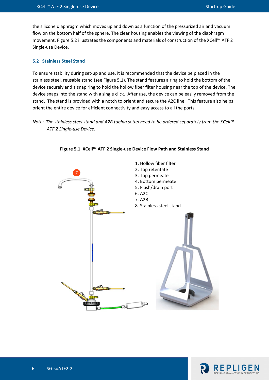the silicone diaphragm which moves up and down as a function of the pressurized air and vacuum flow on the bottom half of the sphere. The clear housing enables the viewing of the diaphragm movement. Figure 5.2 illustrates the components and materials of construction of the XCell™ ATF 2 Single-use Device.

#### <span id="page-7-0"></span>**5.2 Stainless Steel Stand**

To ensure stability during set-up and use, it is recommended that the device be placed in the stainless steel, reusable stand (see Figure 5.1). The stand features a ring to hold the bottom of the device securely and a snap ring to hold the hollow fiber filter housing near the top of the device. The device snaps into the stand with a single click. After use, the device can be easily removed from the stand. The stand is provided with a notch to orient and secure the A2C line. This feature also helps orient the entire device for efficient connectivity and easy access to all the ports.

#### *Note: The stainless steel stand and A2B tubing setup need to be ordered separately from the XCell™ ATF 2 Single-use Device.*

<span id="page-7-1"></span>

**Figure 5.1 XCell™ ATF 2 Single-use Device Flow Path and Stainless Stand**

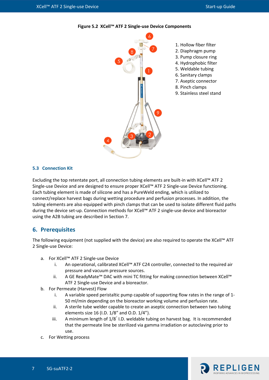<span id="page-8-2"></span>



- 1. Hollow fiber filter
- 2. Diaphragm pump
- 3. Pump closure ring
- 4. Hydrophobic filter
- 5. Weldable tubing
- 6. Sanitary clamps
- 7. Aseptic connector
- 8. Pinch clamps
- 9. Stainless steel stand

#### <span id="page-8-0"></span>**5.3 Connection Kit**

Excluding the top retentate port, all connection tubing elements are built-in with XCell™ ATF 2 Single-use Device and are designed to ensure proper XCell™ ATF 2 Single-use Device functioning. Each tubing element is made of silicone and has a PureWeld ending, which is utilized to connect/replace harvest bags during wetting procedure and perfusion processes. In addition, the tubing elements are also equipped with pinch clamps that can be used to isolate different fluid paths during the device set-up. Connection methods for XCell™ ATF 2 single-use device and bioreactor using the A2B tubing are described in Section 7.

#### <span id="page-8-1"></span>**6. Prerequisites**

The following equipment (not supplied with the device) are also required to operate the XCell™ ATF 2 Single-use Device:

- a. For XCell™ ATF 2 Single-use Device
	- i. An operational, calibrated XCell™ ATF C24 controller, connected to the required air pressure and vacuum pressure sources.
	- ii. A GE ReadyMate™ DAC with mini TC fitting for making connection between XCell™ ATF 2 Single-use Device and a bioreactor.
- b. For Permeate (Harvest) Flow
	- i. A variable speed peristaltic pump capable of supporting flow rates in the range of 1- 50 ml/min depending on the bioreactor working volume and perfusion rate.
	- ii. A sterile tube welder capable to create an aseptic connection between two tubing elements size 16 (I.D. 1/8" and O.D. 1/4").
	- iii. A minimum length of 1/8" I.D. weldable tubing on harvest bag. It is recommended that the permeate line be sterilized via gamma irradiation or autoclaving prior to use.
- c. For Wetting process

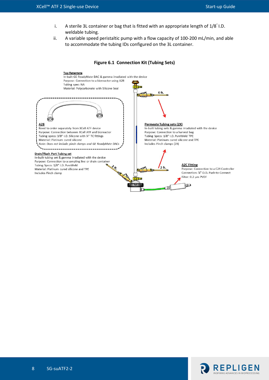- i. A sterile 3L container or bag that is fitted with an appropriate length of 1/8" I.D. weldable tubing.
- ii. A variable speed peristaltic pump with a flow capacity of 100-200 mL/min, and able to accommodate the tubing IDs configured on the 3L container.

<span id="page-9-0"></span>



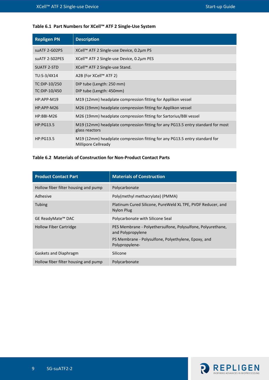## <span id="page-10-0"></span>**Table 6.1 Part Numbers for XCell™ ATF 2 Single-Use System**

| <b>Repligen PN</b>             | <b>Description</b>                                                                                |
|--------------------------------|---------------------------------------------------------------------------------------------------|
| suATF 2-G02PS                  | XCell™ ATF 2 Single-use Device, 0.2µm PS                                                          |
| suATF 2-S02PES                 | XCell™ ATF 2 Single-use Device, 0.2µm PES                                                         |
| <b>SUATF 2-STD</b>             | XCell™ ATF 2 Single-use Stand.                                                                    |
| TU:S-3/4X14                    | A2B (For XCell™ ATF 2)                                                                            |
| TC:DIP-10/250<br>TC:DIP-10/450 | DIP tube (Length: 250 mm)<br>DIP tube (Length: 450mm)                                             |
| $HP:APP-M19$                   | M19 (12mm) headplate compression fitting for Applikon vessel                                      |
| HP:APP-M26                     | M26 (19mm) headplate compression fitting for Applikon vessel                                      |
| HP:BBI-M26                     | M26 (19mm) headplate compression fitting for Sartorius/BBI vessel                                 |
| <b>HP:PG13.5</b>               | M19 (12mm) headplate compression fitting for any PG13.5 entry standard for most<br>glass reactors |
| <b>HP:PG13.5</b>               | M19 (12mm) headplate compression fitting for any PG13.5 entry standard for<br>Millipore Cellready |

#### <span id="page-10-1"></span>**Table 6.2 Materials of Construction for Non-Product Contact Parts**

| <b>Product Contact Part</b>          | <b>Materials of Construction</b>                                                 |
|--------------------------------------|----------------------------------------------------------------------------------|
| Hollow fiber filter housing and pump | Polycarbonate                                                                    |
| Adhesive                             | Poly(methyl methacrylate) (PMMA)                                                 |
| <b>Tubing</b>                        | Platinum Cured Silicone, PureWeld XL TPE, PVDF Reducer, and<br>Nylon Plug        |
| GE ReadyMate <sup>™</sup> DAC        | Polycarbonate with Silicone Seal                                                 |
| <b>Hollow Fiber Cartridge</b>        | PES Membrane - Polyethersulfone, Polysulfone, Polyurethane,<br>and Polypropylene |
|                                      | PS Membrane - Polysulfone, Polyethylene, Epoxy, and<br>Polypropylene-            |
| Gaskets and Diaphragm                | Silicone                                                                         |
| Hollow fiber filter housing and pump | Polycarbonate                                                                    |

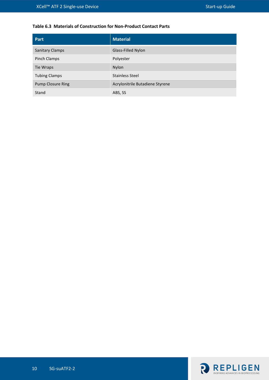#### <span id="page-11-0"></span>**Table 6.3 Materials of Construction for Non-Product Contact Parts**

| Part                     | <b>Material</b>                 |
|--------------------------|---------------------------------|
| <b>Sanitary Clamps</b>   | Glass-Filled Nylon              |
| Pinch Clamps             | Polyester                       |
| Tie Wraps                | <b>Nylon</b>                    |
| <b>Tubing Clamps</b>     | Stainless Steel                 |
| <b>Pump Closure Ring</b> | Acrylonitrile Butadiene Styrene |
| Stand                    | ABS, SS                         |

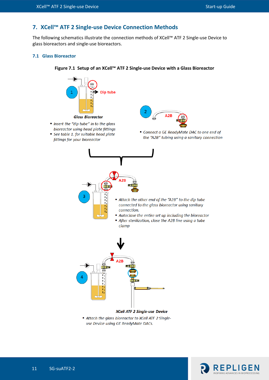# <span id="page-12-0"></span>**7. XCell™ ATF 2 Single-use Device Connection Methods**

The following schematics illustrate the connection methods of XCell™ ATF 2 Single-use Device to glass bioreactors and single-use bioreactors.

#### <span id="page-12-2"></span><span id="page-12-1"></span>**7.1 Glass Bioreactor**



#### **Figure 7.1 Setup of an XCell™ ATF 2 Single-use Device with a Glass Bioreactor**

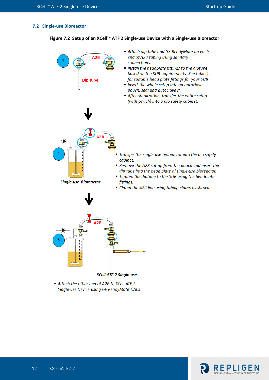#### <span id="page-13-1"></span><span id="page-13-0"></span>**7.2 Single-use Bioreactor**

#### **Figure 7.2 Setup of an XCell™ ATF 2 Single-use Device with a Single-use Bioreactor**



Attach the other end of A2B to XCell ATF 2 Single-use Device using GE ReadyMate DACs

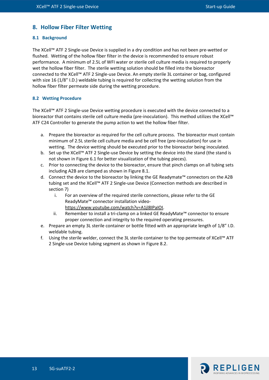### <span id="page-14-0"></span>**8. Hollow Fiber Filter Wetting**

#### <span id="page-14-1"></span>**8.1 Background**

The XCell™ ATF 2 Single-use Device is supplied in a dry condition and has not been pre-wetted or flushed. Wetting of the hollow fiber filter in the device is recommended to ensure robust performance. A minimum of 2.5L of WFI water or sterile cell culture media is required to properly wet the hollow fiber filter. The sterile wetting solution should be filled into the bioreactor connected to the XCell™ ATF 2 Single-use Device. An empty sterile 3L container or bag, configured with size 16 (1/8" I.D.) weldable tubing is required for collecting the wetting solution from the hollow fiber filter permeate side during the wetting procedure.

#### <span id="page-14-2"></span>**8.2 Wetting Procedure**

The XCell™ ATF 2 Single-use Device wetting procedure is executed with the device connected to a bioreactor that contains sterile cell culture media (pre-inoculation). This method utilizes the XCell™ ATF C24 Controller to generate the pump action to wet the hollow fiber filter.

- a. Prepare the bioreactor as required for the cell culture process. The bioreactor must contain minimum of 2.5L sterile cell culture media and be cell free (pre-inoculation) for use in wetting. The device wetting should be executed prior to the bioreactor being inoculated.
- b. Set up the XCell™ ATF 2 Single-use Device by setting the device into the stand (the stand is not shown in Figure 6.1 for better visualization of the tubing pieces).
- c. Prior to connecting the device to the bioreactor, ensure that pinch clamps on all tubing sets including A2B are clamped as shown in Figure 8.1.
- d. Connect the device to the bioreactor by linking the GE Readymate™ connectors on the A2B tubing set and the XCell™ ATF 2 Single-use Device (Connection methods are described in section 7)
	- i. For an overview of the required sterile connections, please refer to the GE ReadyMate™ connector installation video[https://www.youtube.com/watch?v=A1jl8IPaIOI.](https://www.youtube.com/watch?v=A1jl8IPaIOI)
	- ii. Remember to install a tri-clamp on a linked GE ReadyMate™ connector to ensure proper connection and integrity to the required operating pressures.
- e. Prepare an empty 3L sterile container or bottle fitted with an appropriate length of 1/8" I.D. weldable tubing.
- f. Using the sterile welder, connect the 3L sterile container to the top permeate of XCell™ ATF 2 Single-use Device tubing segment as shown in Figure 8.2.

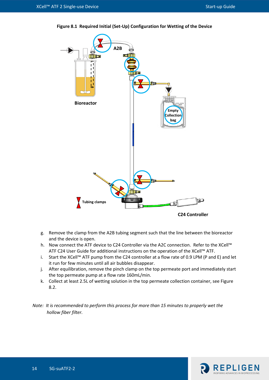

<span id="page-15-0"></span>**Figure 8.1 Required Initial (Set-Up) Configuration for Wetting of the Device**

- g. Remove the clamp from the A2B tubing segment such that the line between the bioreactor and the device is open.
- h. Now connect the ATF device to C24 Controller via the A2C connection. Refer to the XCell™ ATF C24 User Guide for additional instructions on the operation of the XCell™ ATF.
- i. Start the XCell™ ATF pump from the C24 controller at a flow rate of 0.9 LPM (P and E) and let it run for few minutes until all air bubbles disappear.
- j. After equilibration, remove the pinch clamp on the top permeate port and immediately start the top permeate pump at a flow rate 160mL/min.
- k. Collect at least 2.5L of wetting solution in the top permeate collection container, see Figure 8.2.

*Note: It is recommended to perform this process for more than 15 minutes to properly wet the hollow fiber filter.*

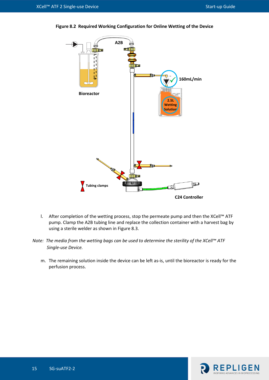

<span id="page-16-0"></span>**Figure 8.2 Required Working Configuration for Online Wetting of the Device**

- l. After completion of the wetting process, stop the permeate pump and then the XCell™ ATF pump. Clamp the A2B tubing line and replace the collection container with a harvest bag by using a sterile welder as shown in Figure 8.3.
- *Note: The media from the wetting bags can be used to determine the sterility of the XCell™ ATF Single-use Device.*
	- m. The remaining solution inside the device can be left as-is, until the bioreactor is ready for the perfusion process.

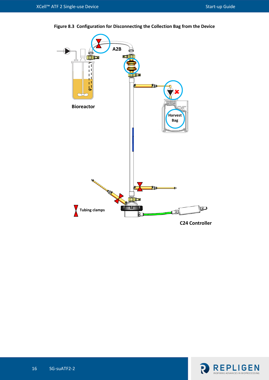

<span id="page-17-0"></span>**Figure 8.3 Configuration for Disconnecting the Collection Bag from the Device**

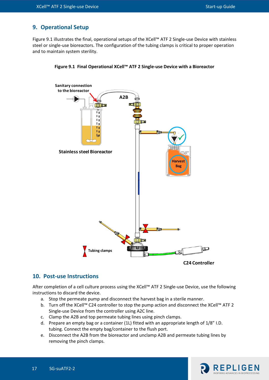# <span id="page-18-0"></span>**9. Operational Setup**

Figure 9.1 illustrates the final, operational setups of the XCell™ ATF 2 Single-use Device with stainless steel or single-use bioreactors. The configuration of the tubing clamps is critical to proper operation and to maintain system sterility.



<span id="page-18-2"></span>

#### <span id="page-18-1"></span>**10. Post-use Instructions**

After completion of a cell culture process using the XCell™ ATF 2 Single-use Device, use the following instructions to discard the device.

- a. Stop the permeate pump and disconnect the harvest bag in a sterile manner.
- b. Turn off the XCell™ C24 controller to stop the pump action and disconnect the XCell™ ATF 2 Single-use Device from the controller using A2C line.
- c. Clamp the A2B and top permeate tubing lines using pinch clamps.
- d. Prepare an empty bag or a container (1L) fitted with an appropriate length of 1/8" I.D. tubing. Connect the empty bag/container to the flush port.
- e. Disconnect the A2B from the bioreactor and unclamp A2B and permeate tubing lines by removing the pinch clamps.

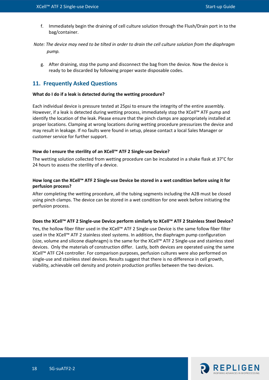f. Immediately begin the draining of cell culture solution through the Flush/Drain port in to the bag/container.

*Note: The device may need to be tilted in order to drain the cell culture solution from the diaphragm pump.*

g. After draining, stop the pump and disconnect the bag from the device. Now the device is ready to be discarded by following proper waste disposable codes.

#### <span id="page-19-0"></span>**11. Frequently Asked Questions**

#### **What do I do if a leak is detected during the wetting procedure?**

Each individual device is pressure tested at 25psi to ensure the integrity of the entire assembly. However, if a leak is detected during wetting process, immediately stop the XCell™ ATF pump and identify the location of the leak. Please ensure that the pinch clamps are appropriately installed at proper locations. Clamping at wrong locations during wetting procedure pressurizes the device and may result in leakage. If no faults were found in setup, please contact a local Sales Manager or customer service for further support.

#### **How do I ensure the sterility of an XCell™ ATF 2 Single-use Device?**

The wetting solution collected from wetting procedure can be incubated in a shake flask at 37°C for 24 hours to assess the sterility of a device.

#### **How long can the XCell™ ATF 2 Single-use Device be stored in a wet condition before using it for perfusion process?**

After completing the wetting procedure, all the tubing segments including the A2B must be closed using pinch clamps. The device can be stored in a wet condition for one week before initiating the perfusion process.

#### **Does the XCell™ ATF 2 Single-use Device perform similarly to XCell™ ATF 2 Stainless Steel Device?**

Yes, the hollow fiber filter used in the XCell™ ATF 2 Single-use Device is the same follow fiber filter used in the XCell™ ATF 2 stainless steel systems. In addition, the diaphragm pump configuration (size, volume and silicone diaphragm) is the same for the XCell™ ATF 2 Single-use and stainless steel devices. Only the materials of construction differ. Lastly, both devices are operated using the same XCell™ ATF C24 controller. For comparison purposes, perfusion cultures were also performed on single-use and stainless steel devices. Results suggest that there is no difference in cell growth, viability, achievable cell density and protein production profiles between the two devices.